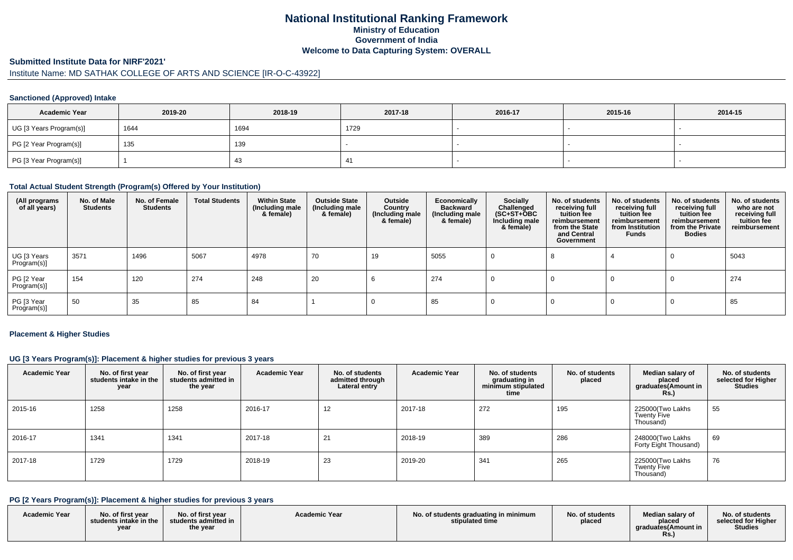# **National Institutional Ranking FrameworkMinistry of Education Government of IndiaWelcome to Data Capturing System: OVERALL**

#### **Submitted Institute Data for NIRF'2021'**

# Institute Name: MD SATHAK COLLEGE OF ARTS AND SCIENCE [IR-O-C-43922]

## **Sanctioned (Approved) Intake**

| <b>Academic Year</b>    | 2019-20 | 2018-19 | 2017-18 | 2016-17 | 2015-16 | 2014-15 |
|-------------------------|---------|---------|---------|---------|---------|---------|
| UG [3 Years Program(s)] | 1644    | 1694    | 1729    |         |         |         |
| PG [2 Year Program(s)]  | 135     | 139     |         |         |         |         |
| PG [3 Year Program(s)]  |         |         | -41     |         |         |         |

## **Total Actual Student Strength (Program(s) Offered by Your Institution)**

| (All programs<br>of all years) | No. of Male<br><b>Students</b> | No. of Female<br><b>Students</b> | <b>Total Students</b> | <b>Within State</b><br>(Including male<br>& female) | <b>Outside State</b><br>(Including male<br>& female) | Outside<br>Country<br>(Including male<br>& female) | Economically<br><b>Backward</b><br>(Including male<br>& female) | <b>Socially</b><br>Challenged<br>$(SC+ST+\text{O}BC)$<br>Including male<br>& female) | No. of students<br>receiving full<br>tuition fee<br>reimbursement<br>from the State<br>and Central<br>Government | No. of students<br>receiving full<br>tuition fee<br>reimbursement<br>from Institution<br><b>Funds</b> | No. of students<br>receiving full<br>tuition fee<br>reimbursement<br>from the Private<br><b>Bodies</b> | No. of students<br>who are not<br>receiving full<br>tuition fee<br>reimbursement |
|--------------------------------|--------------------------------|----------------------------------|-----------------------|-----------------------------------------------------|------------------------------------------------------|----------------------------------------------------|-----------------------------------------------------------------|--------------------------------------------------------------------------------------|------------------------------------------------------------------------------------------------------------------|-------------------------------------------------------------------------------------------------------|--------------------------------------------------------------------------------------------------------|----------------------------------------------------------------------------------|
| UG [3 Years<br>Program(s)]     | 3571                           | 1496                             | 5067                  | 4978                                                | 70                                                   | 19                                                 | 5055                                                            |                                                                                      |                                                                                                                  |                                                                                                       |                                                                                                        | 5043                                                                             |
| PG [2 Year<br>Program(s)]      | 154                            | 120                              | 274                   | 248                                                 | 20                                                   |                                                    | 274                                                             |                                                                                      |                                                                                                                  |                                                                                                       |                                                                                                        | 274                                                                              |
| PG [3 Year<br>Program(s)]      | -50                            | 35                               | 85                    | 84                                                  |                                                      |                                                    | 85                                                              |                                                                                      |                                                                                                                  |                                                                                                       |                                                                                                        | 85                                                                               |

#### **Placement & Higher Studies**

## **UG [3 Years Program(s)]: Placement & higher studies for previous 3 years**

| <b>Academic Year</b> | No. of first year<br>students intake in the<br>year | No. of first year<br>students admitted in<br>the year | <b>Academic Year</b> | No. of students<br>admitted through<br>Lateral entry | <b>Academic Year</b> | No. of students<br>graduating in<br>minimum stipulated<br>time | No. of students<br>placed | Median salary of<br>placed<br>graduates(Amount in<br><b>Rs.)</b> | No. of students<br>selected for Higher<br><b>Studies</b> |
|----------------------|-----------------------------------------------------|-------------------------------------------------------|----------------------|------------------------------------------------------|----------------------|----------------------------------------------------------------|---------------------------|------------------------------------------------------------------|----------------------------------------------------------|
| 2015-16              | 1258                                                | 1258                                                  | 2016-17              | 12                                                   | 2017-18              | 272                                                            | 195                       | 225000(Two Lakhs<br>Twenty Five<br>Thousand)                     | 55                                                       |
| 2016-17              | 1341                                                | 1341                                                  | 2017-18              | 21                                                   | 2018-19              | 389                                                            | 286                       | 248000(Two Lakhs<br>Forty Eight Thousand)                        | 69                                                       |
| 2017-18              | 1729                                                | 1729                                                  | 2018-19              | 23                                                   | 2019-20              | 341                                                            | 265                       | 225000(Two Lakhs<br>Twenty Five<br>Thousand)                     | 76                                                       |

#### **PG [2 Years Program(s)]: Placement & higher studies for previous 3 years**

| <b>Academic Year</b> | No. of first year<br>students intake in the<br>vear | No. of first year<br>students admitted in<br>the year | <b>Academic Year</b> | No. of students graduating in minimum<br>stipulated time | No. of students<br>placed | Median salary of<br>placed<br>araduates(Amount in<br><b>Rs.)</b> | No. of students<br>selected for Higher<br><b>Studies</b> |
|----------------------|-----------------------------------------------------|-------------------------------------------------------|----------------------|----------------------------------------------------------|---------------------------|------------------------------------------------------------------|----------------------------------------------------------|
|----------------------|-----------------------------------------------------|-------------------------------------------------------|----------------------|----------------------------------------------------------|---------------------------|------------------------------------------------------------------|----------------------------------------------------------|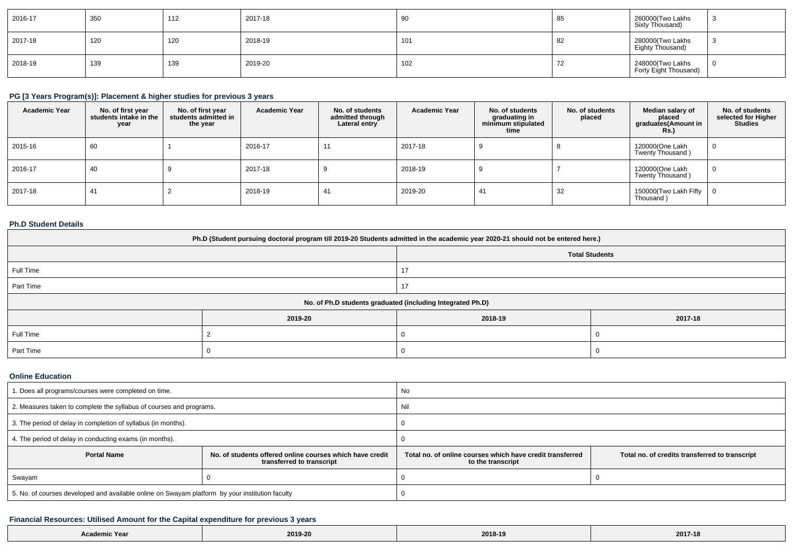| $ 2016-17$ | 350 | 112 | 2017-18 |     | 85       | 260000(Two Lakhs<br>Sixty Thousand)       |  |
|------------|-----|-----|---------|-----|----------|-------------------------------------------|--|
| 2017-18    | 120 | 120 | 2018-19 | 101 | 82       | 280000(Two Lakhs<br>Eighty Thousand)      |  |
| 2018-19    | 139 | 139 | 2019-20 | 102 | 70<br>74 | 248000(Two Lakhs<br>Forty Eight Thousand) |  |

## **PG [3 Years Program(s)]: Placement & higher studies for previous 3 years**

| <b>Academic Year</b> | No. of first year<br>students intake in the<br>year | No. of first vear<br>students admitted in<br>the year | <b>Academic Year</b> | No. of students<br>admitted through<br>Lateral entry | <b>Academic Year</b> | No. of students<br>graduating in<br>minimum stipulated<br>time | No. of students<br>placed | Median salary of<br>placed<br>graduates (Amount in<br>Rs. | No. of students<br>selected for Higher<br><b>Studies</b> |
|----------------------|-----------------------------------------------------|-------------------------------------------------------|----------------------|------------------------------------------------------|----------------------|----------------------------------------------------------------|---------------------------|-----------------------------------------------------------|----------------------------------------------------------|
| 2015-16              | 60                                                  |                                                       | 2016-17              | 11                                                   | 2017-18              |                                                                |                           | 120000(One Lakh<br>Twenty Thousand)                       |                                                          |
| 2016-17              | 40                                                  |                                                       | 2017-18              |                                                      | 2018-19              |                                                                |                           | 120000(One Lakh<br>Twenty Thousand)                       |                                                          |
| 2017-18              | 41                                                  |                                                       | 2018-19              | 41                                                   | 2019-20              | 41                                                             | 32                        | 150000(Two Lakh Fifty<br>Thousand)                        |                                                          |

## **Ph.D Student Details**

| Ph.D (Student pursuing doctoral program till 2019-20 Students admitted in the academic year 2020-21 should not be entered here.) |                                                            |         |         |  |  |  |
|----------------------------------------------------------------------------------------------------------------------------------|------------------------------------------------------------|---------|---------|--|--|--|
| <b>Total Students</b>                                                                                                            |                                                            |         |         |  |  |  |
| Full Time                                                                                                                        |                                                            |         |         |  |  |  |
| Part Time                                                                                                                        |                                                            |         |         |  |  |  |
|                                                                                                                                  | No. of Ph.D students graduated (including Integrated Ph.D) |         |         |  |  |  |
|                                                                                                                                  | 2019-20                                                    | 2018-19 | 2017-18 |  |  |  |
| Full Time                                                                                                                        |                                                            |         |         |  |  |  |
| Part Time                                                                                                                        |                                                            |         |         |  |  |  |

#### **Online Education**

| I. Does all programs/courses were completed on time.                                            |                                                                                       | No                                                                             |                                                |  |  |
|-------------------------------------------------------------------------------------------------|---------------------------------------------------------------------------------------|--------------------------------------------------------------------------------|------------------------------------------------|--|--|
| 2. Measures taken to complete the syllabus of courses and programs.                             |                                                                                       | Nil                                                                            |                                                |  |  |
| 3. The period of delay in completion of syllabus (in months).                                   |                                                                                       |                                                                                |                                                |  |  |
| 4. The period of delay in conducting exams (in months).                                         |                                                                                       |                                                                                |                                                |  |  |
| <b>Portal Name</b>                                                                              | No. of students offered online courses which have credit<br>transferred to transcript | Total no, of online courses which have credit transferred<br>to the transcript | Total no. of credits transferred to transcript |  |  |
| Swayam                                                                                          |                                                                                       |                                                                                |                                                |  |  |
| 5. No. of courses developed and available online on Swayam platform by your institution faculty |                                                                                       |                                                                                |                                                |  |  |

## **Financial Resources: Utilised Amount for the Capital expenditure for previous 3 years**

| <b>Academic Year</b> | 2019-20 | 2018-19 | 2017-18 |
|----------------------|---------|---------|---------|
|----------------------|---------|---------|---------|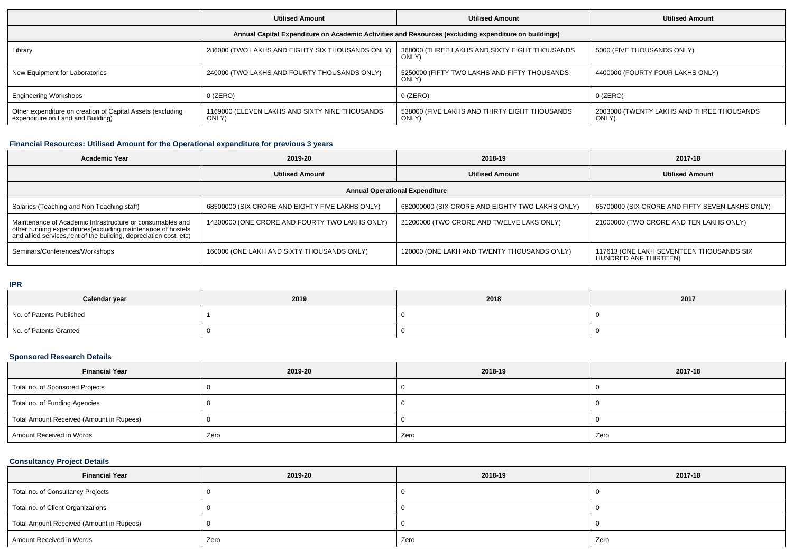|                                                                                                      | <b>Utilised Amount</b>                                  | <b>Utilised Amount</b>                                 | <b>Utilised Amount</b>                             |  |  |  |  |
|------------------------------------------------------------------------------------------------------|---------------------------------------------------------|--------------------------------------------------------|----------------------------------------------------|--|--|--|--|
| Annual Capital Expenditure on Academic Activities and Resources (excluding expenditure on buildings) |                                                         |                                                        |                                                    |  |  |  |  |
| Library                                                                                              | 286000 (TWO LAKHS AND EIGHTY SIX THOUSANDS ONLY)        | 368000 (THREE LAKHS AND SIXTY EIGHT THOUSANDS<br>ONLY) | 5000 (FIVE THOUSANDS ONLY)                         |  |  |  |  |
| New Equipment for Laboratories                                                                       | 240000 (TWO LAKHS AND FOURTY THOUSANDS ONLY)            | 5250000 (FIFTY TWO LAKHS AND FIFTY THOUSANDS<br>ONLY)  | 4400000 (FOURTY FOUR LAKHS ONLY)                   |  |  |  |  |
| <b>Engineering Workshops</b>                                                                         | $0$ (ZERO)                                              | 0 (ZERO)                                               | $0$ (ZERO)                                         |  |  |  |  |
| Other expenditure on creation of Capital Assets (excluding<br>expenditure on Land and Building)      | 1169000 (ELEVEN LAKHS AND SIXTY NINE THOUSANDS<br>ONLY) | 538000 (FIVE LAKHS AND THIRTY EIGHT THOUSANDS<br>ONLY) | 2003000 (TWENTY LAKHS AND THREE THOUSANDS<br>ONLY) |  |  |  |  |

## **Financial Resources: Utilised Amount for the Operational expenditure for previous 3 years**

| Academic Year                                                                                                                                                                                 | 2019-20                                         | 2018-19                                         | 2017-18                                                           |  |  |  |  |  |
|-----------------------------------------------------------------------------------------------------------------------------------------------------------------------------------------------|-------------------------------------------------|-------------------------------------------------|-------------------------------------------------------------------|--|--|--|--|--|
|                                                                                                                                                                                               | <b>Utilised Amount</b>                          | <b>Utilised Amount</b>                          | <b>Utilised Amount</b>                                            |  |  |  |  |  |
| <b>Annual Operational Expenditure</b>                                                                                                                                                         |                                                 |                                                 |                                                                   |  |  |  |  |  |
| Salaries (Teaching and Non Teaching staff)                                                                                                                                                    | 68500000 (SIX CRORE AND EIGHTY FIVE LAKHS ONLY) | 682000000 (SIX CRORE AND EIGHTY TWO LAKHS ONLY) | 65700000 (SIX CRORE AND FIFTY SEVEN LAKHS ONLY)                   |  |  |  |  |  |
| Maintenance of Academic Infrastructure or consumables and<br>other running expenditures(excluding maintenance of hostels<br>and allied services,rent of the building, depreciation cost, etc) | 14200000 (ONE CRORE AND FOURTY TWO LAKHS ONLY)  | 21200000 (TWO CRORE AND TWELVE LAKS ONLY)       | 21000000 (TWO CRORE AND TEN LAKHS ONLY)                           |  |  |  |  |  |
| Seminars/Conferences/Workshops                                                                                                                                                                | 160000 (ONE LAKH AND SIXTY THOUSANDS ONLY)      | 120000 (ONE LAKH AND TWENTY THOUSANDS ONLY)     | 117613 (ONE LAKH SEVENTEEN THOUSANDS SIX<br>HUNDRED ANF THIRTEEN) |  |  |  |  |  |

#### **IPR**

| Calendar year            | 2019 | 2018 | 2017 |
|--------------------------|------|------|------|
| No. of Patents Published |      |      |      |
| No. of Patents Granted   |      |      |      |

## **Sponsored Research Details**

| <b>Financial Year</b>                    | 2019-20 | 2018-19 | 2017-18 |  |  |
|------------------------------------------|---------|---------|---------|--|--|
| Total no. of Sponsored Projects          |         |         |         |  |  |
| Total no. of Funding Agencies            |         |         |         |  |  |
| Total Amount Received (Amount in Rupees) |         |         |         |  |  |
| Amount Received in Words                 | Zero    | Zero    | Zero    |  |  |

## **Consultancy Project Details**

| <b>Financial Year</b>                    | 2019-20 | 2018-19 | 2017-18 |  |  |
|------------------------------------------|---------|---------|---------|--|--|
| Total no. of Consultancy Projects        |         |         |         |  |  |
| Total no. of Client Organizations        |         |         |         |  |  |
| Total Amount Received (Amount in Rupees) |         |         |         |  |  |
| Amount Received in Words                 | Zero    | Zero    | Zero    |  |  |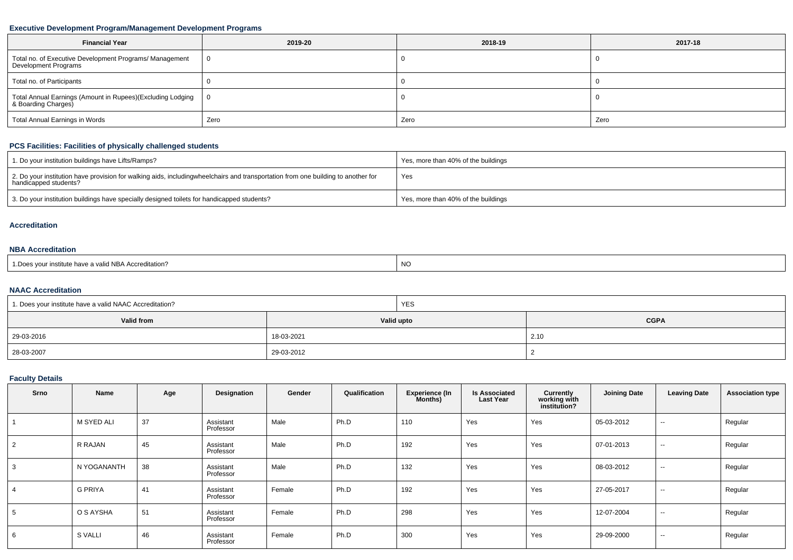## **Executive Development Program/Management Development Programs**

| <b>Financial Year</b>                                                           | 2019-20 | 2018-19 | 2017-18 |  |  |
|---------------------------------------------------------------------------------|---------|---------|---------|--|--|
| Total no. of Executive Development Programs/ Management<br>Development Programs |         |         |         |  |  |
| Total no. of Participants                                                       |         |         |         |  |  |
| Total Annual Earnings (Amount in Rupees)(Excluding Lodging                      | - 0     |         |         |  |  |
| Total Annual Earnings in Words                                                  | Zero    | Zero    | Zero    |  |  |

## **PCS Facilities: Facilities of physically challenged students**

| 1. Do your institution buildings have Lifts/Ramps?                                                                                                        | Yes, more than 40% of the buildings |
|-----------------------------------------------------------------------------------------------------------------------------------------------------------|-------------------------------------|
| 2. Do your institution have provision for walking aids, includingwheelchairs and transportation from one building to another for<br>handicapped students? | Yes                                 |
| 3. Do your institution buildings have specially designed toilets for handicapped students?                                                                | Yes, more than 40% of the buildings |

#### **Accreditation**

## **NBA Accreditation**

| s vour institute have a valid NBA Accreditation?<br><b>NC</b><br>1.Does |  |
|-------------------------------------------------------------------------|--|
|-------------------------------------------------------------------------|--|

## **NAAC Accreditation**

| 1. Does your institute have a valid NAAC Accreditation? |            | <b>YES</b> |             |  |  |  |
|---------------------------------------------------------|------------|------------|-------------|--|--|--|
| Valid from                                              | Valid upto |            | <b>CGPA</b> |  |  |  |
| 29-03-2016                                              | 18-03-2021 |            | 2.10        |  |  |  |
| 28-03-2007                                              | 29-03-2012 |            |             |  |  |  |

## **Faculty Details**

| Srno | Name           | Age | Designation            | Gender | Qualification | <b>Experience (In</b><br>Months) | <b>Is Associated</b><br><b>Last Year</b> | Currently<br>working with<br>institution? | <b>Joining Date</b> | <b>Leaving Date</b> | <b>Association type</b> |
|------|----------------|-----|------------------------|--------|---------------|----------------------------------|------------------------------------------|-------------------------------------------|---------------------|---------------------|-------------------------|
|      | M SYED ALI     | 37  | Assistant<br>Professor | Male   | Ph.D          | 110                              | Yes                                      | Yes                                       | 05-03-2012          | $\sim$              | Regular                 |
|      | R RAJAN        | 45  | Assistant<br>Professor | Male   | Ph.D          | 192                              | Yes                                      | Yes                                       | 07-01-2013          | $\sim$              | Regular                 |
|      | N YOGANANTH    | 38  | Assistant<br>Professor | Male   | Ph.D          | 132                              | Yes                                      | Yes                                       | 08-03-2012          | $\sim$              | Regular                 |
|      | <b>G PRIYA</b> | 41  | Assistant<br>Professor | Female | Ph.D          | 192                              | Yes                                      | Yes                                       | 27-05-2017          | $\sim$              | Regular                 |
|      | O S AYSHA      | 51  | Assistant<br>Professor | Female | Ph.D          | 298                              | Yes                                      | Yes                                       | 12-07-2004          | $\sim$              | Regular                 |
|      | S VALLI        | 46  | Assistant<br>Professor | Female | Ph.D          | 300                              | Yes                                      | Yes                                       | 29-09-2000          | $\sim$              | Regular                 |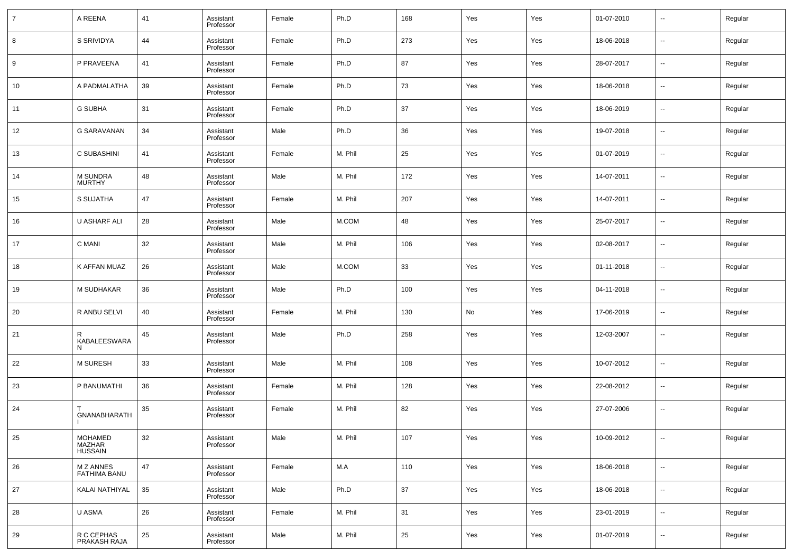| $\overline{7}$ | A REENA                                         | 41 | Assistant<br>Professor | Female | Ph.D    | 168 | Yes | Yes | 01-07-2010 | $\sim$                   | Regular |
|----------------|-------------------------------------------------|----|------------------------|--------|---------|-----|-----|-----|------------|--------------------------|---------|
| 8              | S SRIVIDYA                                      | 44 | Assistant<br>Professor | Female | Ph.D    | 273 | Yes | Yes | 18-06-2018 | --                       | Regular |
| 9              | P PRAVEENA                                      | 41 | Assistant<br>Professor | Female | Ph.D    | 87  | Yes | Yes | 28-07-2017 | ш.                       | Regular |
| 10             | A PADMALATHA                                    | 39 | Assistant<br>Professor | Female | Ph.D    | 73  | Yes | Yes | 18-06-2018 | --                       | Regular |
| 11             | <b>G SUBHA</b>                                  | 31 | Assistant<br>Professor | Female | Ph.D    | 37  | Yes | Yes | 18-06-2019 | $\overline{\phantom{a}}$ | Regular |
| 12             | <b>G SARAVANAN</b>                              | 34 | Assistant<br>Professor | Male   | Ph.D    | 36  | Yes | Yes | 19-07-2018 | --                       | Regular |
| 13             | C SUBASHINI                                     | 41 | Assistant<br>Professor | Female | M. Phil | 25  | Yes | Yes | 01-07-2019 | ш.                       | Regular |
| 14             | M SUNDRA<br>MURTHY                              | 48 | Assistant<br>Professor | Male   | M. Phil | 172 | Yes | Yes | 14-07-2011 | --                       | Regular |
| 15             | S SUJATHA                                       | 47 | Assistant<br>Professor | Female | M. Phil | 207 | Yes | Yes | 14-07-2011 | ш,                       | Regular |
| 16             | U ASHARF ALI                                    | 28 | Assistant<br>Professor | Male   | M.COM   | 48  | Yes | Yes | 25-07-2017 | --                       | Regular |
| 17             | C MANI                                          | 32 | Assistant<br>Professor | Male   | M. Phil | 106 | Yes | Yes | 02-08-2017 | ш,                       | Regular |
| 18             | K AFFAN MUAZ                                    | 26 | Assistant<br>Professor | Male   | M.COM   | 33  | Yes | Yes | 01-11-2018 | --                       | Regular |
| 19             | M SUDHAKAR                                      | 36 | Assistant<br>Professor | Male   | Ph.D    | 100 | Yes | Yes | 04-11-2018 | ш,                       | Regular |
| 20             | R ANBU SELVI                                    | 40 | Assistant<br>Professor | Female | M. Phil | 130 | No  | Yes | 17-06-2019 | --                       | Regular |
| 21             | R<br>KABALEESWARA<br>N                          | 45 | Assistant<br>Professor | Male   | Ph.D    | 258 | Yes | Yes | 12-03-2007 | --                       | Regular |
| 22             | <b>M SURESH</b>                                 | 33 | Assistant<br>Professor | Male   | M. Phil | 108 | Yes | Yes | 10-07-2012 | --                       | Regular |
| 23             | P BANUMATHI                                     | 36 | Assistant<br>Professor | Female | M. Phil | 128 | Yes | Yes | 22-08-2012 | --                       | Regular |
| 24             | GNANABHARATH                                    | 35 | Assistant<br>Professor | Female | M. Phil | 82  | Yes | Yes | 27-07-2006 | --                       | Regular |
| 25             | <b>MOHAMED</b><br>MOTIANEL<br>MAZHAR<br>HUSSAIN | 32 | Assistant<br>Professor | Male   | M. Phil | 107 | Yes | Yes | 10-09-2012 | $\overline{\phantom{a}}$ | Regular |
| 26             | M Z ANNES<br><b>FATHIMA BANU</b>                | 47 | Assistant<br>Professor | Female | M.A     | 110 | Yes | Yes | 18-06-2018 | $\sim$                   | Regular |
| 27             | KALAI NATHIYAL                                  | 35 | Assistant<br>Professor | Male   | Ph.D    | 37  | Yes | Yes | 18-06-2018 | $\overline{\phantom{a}}$ | Regular |
| 28             | U ASMA                                          | 26 | Assistant<br>Professor | Female | M. Phil | 31  | Yes | Yes | 23-01-2019 | $\sim$                   | Regular |
| 29             | R C CEPHAS<br>PRAKASH RAJA                      | 25 | Assistant<br>Professor | Male   | M. Phil | 25  | Yes | Yes | 01-07-2019 | $\overline{\phantom{a}}$ | Regular |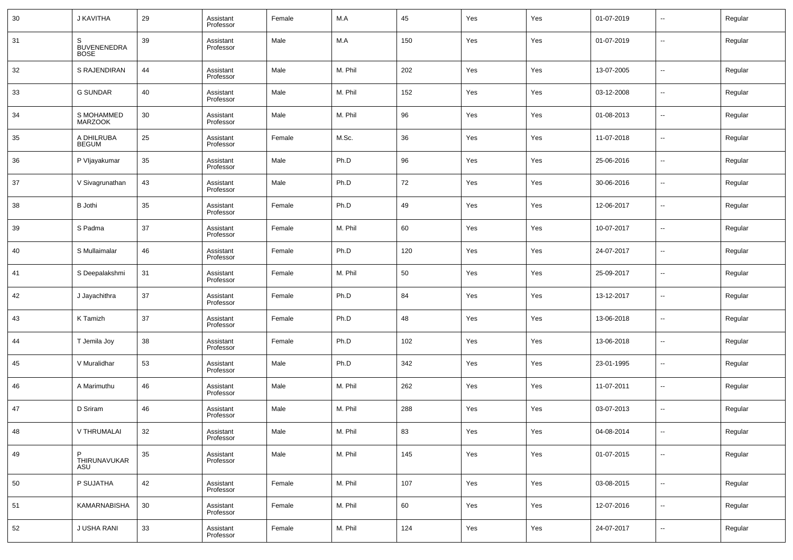| 30 | J KAVITHA                              | 29     | Assistant<br>Professor | Female | M.A     | 45  | Yes | Yes | 01-07-2019 | ÷. | Regular |
|----|----------------------------------------|--------|------------------------|--------|---------|-----|-----|-----|------------|----|---------|
| 31 | S<br><b>BUVENENEDRA</b><br><b>BOSE</b> | 39     | Assistant<br>Professor | Male   | M.A     | 150 | Yes | Yes | 01-07-2019 | −− | Regular |
| 32 | S RAJENDIRAN                           | 44     | Assistant<br>Professor | Male   | M. Phil | 202 | Yes | Yes | 13-07-2005 | ÷. | Regular |
| 33 | <b>G SUNDAR</b>                        | 40     | Assistant<br>Professor | Male   | M. Phil | 152 | Yes | Yes | 03-12-2008 | Ξ. | Regular |
| 34 | S MOHAMMED<br><b>MARZOOK</b>           | 30     | Assistant<br>Professor | Male   | M. Phil | 96  | Yes | Yes | 01-08-2013 | ÷. | Regular |
| 35 | A DHILRUBA<br><b>BEGUM</b>             | 25     | Assistant<br>Professor | Female | M.Sc.   | 36  | Yes | Yes | 11-07-2018 | Ξ. | Regular |
| 36 | P Vljayakumar                          | 35     | Assistant<br>Professor | Male   | Ph.D    | 96  | Yes | Yes | 25-06-2016 | ÷. | Regular |
| 37 | V Sivagrunathan                        | 43     | Assistant<br>Professor | Male   | Ph.D    | 72  | Yes | Yes | 30-06-2016 | Ξ. | Regular |
| 38 | <b>B</b> Jothi                         | 35     | Assistant<br>Professor | Female | Ph.D    | 49  | Yes | Yes | 12-06-2017 | ÷. | Regular |
| 39 | S Padma                                | 37     | Assistant<br>Professor | Female | M. Phil | 60  | Yes | Yes | 10-07-2017 | Ξ. | Regular |
| 40 | S Mullaimalar                          | 46     | Assistant<br>Professor | Female | Ph.D    | 120 | Yes | Yes | 24-07-2017 | ÷. | Regular |
| 41 | S Deepalakshmi                         | 31     | Assistant<br>Professor | Female | M. Phil | 50  | Yes | Yes | 25-09-2017 | Ξ. | Regular |
| 42 | J Jayachithra                          | 37     | Assistant<br>Professor | Female | Ph.D    | 84  | Yes | Yes | 13-12-2017 | -- | Regular |
| 43 | K Tamizh                               | 37     | Assistant<br>Professor | Female | Ph.D    | 48  | Yes | Yes | 13-06-2018 | ÷. | Regular |
| 44 | T Jemila Joy                           | 38     | Assistant<br>Professor | Female | Ph.D    | 102 | Yes | Yes | 13-06-2018 | -- | Regular |
| 45 | V Muralidhar                           | 53     | Assistant<br>Professor | Male   | Ph.D    | 342 | Yes | Yes | 23-01-1995 | ÷. | Regular |
| 46 | A Marimuthu                            | 46     | Assistant<br>Professor | Male   | M. Phil | 262 | Yes | Yes | 11-07-2011 | Ξ. | Regular |
| 47 | D Sriram                               | 46     | Assistant<br>Professor | Male   | M. Phil | 288 | Yes | Yes | 03-07-2013 | н. | Regular |
| 48 | V THRUMALAI                            | 32     | Assistant<br>Professor | Male   | M. Phil | 83  | Yes | Yes | 04-08-2014 |    | Regular |
| 49 | P<br>THIRUNAVUKAR<br>ASU               | $35\,$ | Assistant<br>Professor | Male   | M. Phil | 145 | Yes | Yes | 01-07-2015 | щ. | Regular |
| 50 | P SUJATHA                              | 42     | Assistant<br>Professor | Female | M. Phil | 107 | Yes | Yes | 03-08-2015 | −− | Regular |
| 51 | KAMARNABISHA                           | 30     | Assistant<br>Professor | Female | M. Phil | 60  | Yes | Yes | 12-07-2016 | н. | Regular |
| 52 | J USHA RANI                            | 33     | Assistant<br>Professor | Female | M. Phil | 124 | Yes | Yes | 24-07-2017 | ۰. | Regular |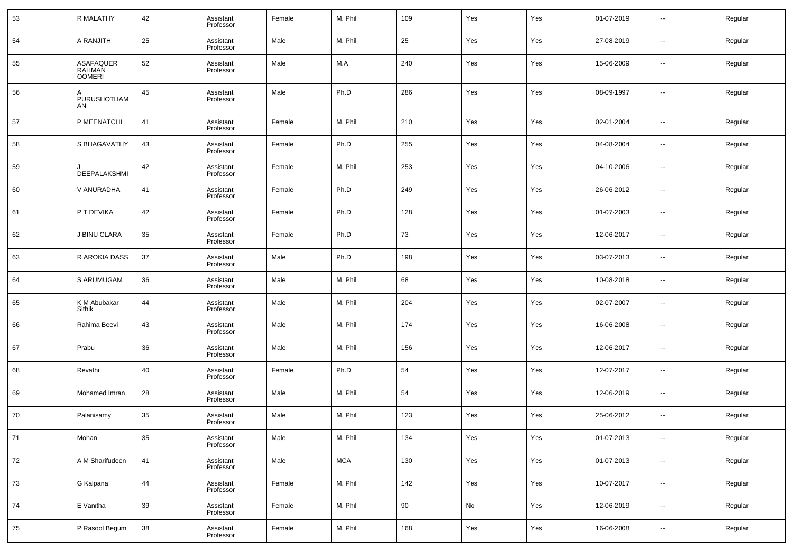| 53 | R MALATHY                     | 42 | Assistant<br>Professor | Female | M. Phil    | 109 | Yes | Yes | 01-07-2019 | $\overline{\phantom{a}}$ | Regular |
|----|-------------------------------|----|------------------------|--------|------------|-----|-----|-----|------------|--------------------------|---------|
| 54 | A RANJITH                     | 25 | Assistant<br>Professor | Male   | M. Phil    | 25  | Yes | Yes | 27-08-2019 | $\overline{\phantom{a}}$ | Regular |
| 55 | ASAFAQUER<br>RAHMAN<br>OOMERI | 52 | Assistant<br>Professor | Male   | M.A        | 240 | Yes | Yes | 15-06-2009 | $\sim$                   | Regular |
| 56 | A<br>PURUSHOTHAM<br>AN        | 45 | Assistant<br>Professor | Male   | Ph.D       | 286 | Yes | Yes | 08-09-1997 | $\overline{\phantom{a}}$ | Regular |
| 57 | P MEENATCHI                   | 41 | Assistant<br>Professor | Female | M. Phil    | 210 | Yes | Yes | 02-01-2004 | $\overline{\phantom{a}}$ | Regular |
| 58 | S BHAGAVATHY                  | 43 | Assistant<br>Professor | Female | Ph.D       | 255 | Yes | Yes | 04-08-2004 | $\overline{\phantom{a}}$ | Regular |
| 59 | DEEPALAKSHMI                  | 42 | Assistant<br>Professor | Female | M. Phil    | 253 | Yes | Yes | 04-10-2006 | $\overline{\phantom{a}}$ | Regular |
| 60 | V ANURADHA                    | 41 | Assistant<br>Professor | Female | Ph.D       | 249 | Yes | Yes | 26-06-2012 | $\overline{\phantom{a}}$ | Regular |
| 61 | P T DEVIKA                    | 42 | Assistant<br>Professor | Female | Ph.D       | 128 | Yes | Yes | 01-07-2003 | $\overline{\phantom{a}}$ | Regular |
| 62 | J BINU CLARA                  | 35 | Assistant<br>Professor | Female | Ph.D       | 73  | Yes | Yes | 12-06-2017 | $\overline{\phantom{a}}$ | Regular |
| 63 | R AROKIA DASS                 | 37 | Assistant<br>Professor | Male   | Ph.D       | 198 | Yes | Yes | 03-07-2013 | $\overline{\phantom{a}}$ | Regular |
| 64 | S ARUMUGAM                    | 36 | Assistant<br>Professor | Male   | M. Phil    | 68  | Yes | Yes | 10-08-2018 | $\overline{\phantom{a}}$ | Regular |
| 65 | K M Abubakar<br>Sithik        | 44 | Assistant<br>Professor | Male   | M. Phil    | 204 | Yes | Yes | 02-07-2007 | $\overline{\phantom{a}}$ | Regular |
| 66 | Rahima Beevi                  | 43 | Assistant<br>Professor | Male   | M. Phil    | 174 | Yes | Yes | 16-06-2008 | $\overline{\phantom{a}}$ | Regular |
| 67 | Prabu                         | 36 | Assistant<br>Professor | Male   | M. Phil    | 156 | Yes | Yes | 12-06-2017 | $\overline{\phantom{a}}$ | Regular |
| 68 | Revathi                       | 40 | Assistant<br>Professor | Female | Ph.D       | 54  | Yes | Yes | 12-07-2017 | $\overline{\phantom{a}}$ | Regular |
| 69 | Mohamed Imran                 | 28 | Assistant<br>Professor | Male   | M. Phil    | 54  | Yes | Yes | 12-06-2019 | $\overline{\phantom{a}}$ | Regular |
| 70 | Palanisamy                    | 35 | Assistant<br>Professor | Male   | M. Phil    | 123 | Yes | Yes | 25-06-2012 | --                       | Regular |
| 71 | Mohan                         | 35 | Assistant<br>Professor | Male   | M. Phil    | 134 | Yes | Yes | 01-07-2013 | $\overline{\phantom{a}}$ | Regular |
| 72 | A M Sharifudeen               | 41 | Assistant<br>Professor | Male   | <b>MCA</b> | 130 | Yes | Yes | 01-07-2013 | $\overline{\phantom{a}}$ | Regular |
| 73 | G Kalpana                     | 44 | Assistant<br>Professor | Female | M. Phil    | 142 | Yes | Yes | 10-07-2017 | $\overline{\phantom{a}}$ | Regular |
| 74 | E Vanitha                     | 39 | Assistant<br>Professor | Female | M. Phil    | 90  | No  | Yes | 12-06-2019 | $\overline{\phantom{a}}$ | Regular |
| 75 | P Rasool Begum                | 38 | Assistant<br>Professor | Female | M. Phil    | 168 | Yes | Yes | 16-06-2008 | $\overline{\phantom{a}}$ | Regular |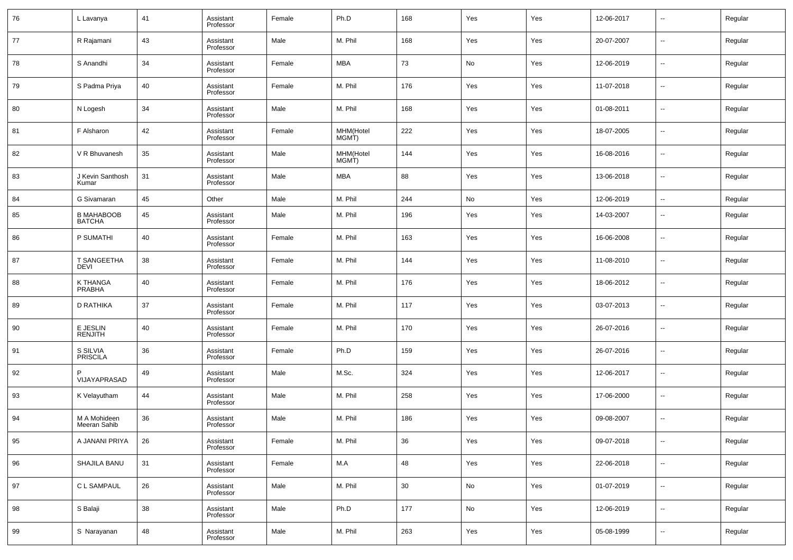| 76 | L Lavanya                          | 41 | Assistant<br>Professor | Female | Ph.D               | 168 | Yes | Yes | 12-06-2017 | $\overline{\phantom{a}}$ | Regular |
|----|------------------------------------|----|------------------------|--------|--------------------|-----|-----|-----|------------|--------------------------|---------|
| 77 | R Rajamani                         | 43 | Assistant<br>Professor | Male   | M. Phil            | 168 | Yes | Yes | 20-07-2007 | $\overline{\phantom{a}}$ | Regular |
| 78 | S Anandhi                          | 34 | Assistant<br>Professor | Female | <b>MBA</b>         | 73  | No  | Yes | 12-06-2019 | $\overline{\phantom{a}}$ | Regular |
| 79 | S Padma Priya                      | 40 | Assistant<br>Professor | Female | M. Phil            | 176 | Yes | Yes | 11-07-2018 | $\overline{\phantom{a}}$ | Regular |
| 80 | N Logesh                           | 34 | Assistant<br>Professor | Male   | M. Phil            | 168 | Yes | Yes | 01-08-2011 | $\overline{\phantom{a}}$ | Regular |
| 81 | F Alsharon                         | 42 | Assistant<br>Professor | Female | MHM(Hotel<br>MGMT) | 222 | Yes | Yes | 18-07-2005 | $\overline{\phantom{a}}$ | Regular |
| 82 | V R Bhuvanesh                      | 35 | Assistant<br>Professor | Male   | MHM(Hotel<br>MGMT) | 144 | Yes | Yes | 16-08-2016 | $\overline{\phantom{a}}$ | Regular |
| 83 | J Kevin Santhosh<br>Kumar          | 31 | Assistant<br>Professor | Male   | <b>MBA</b>         | 88  | Yes | Yes | 13-06-2018 | $\overline{\phantom{a}}$ | Regular |
| 84 | G Sivamaran                        | 45 | Other                  | Male   | M. Phil            | 244 | No  | Yes | 12-06-2019 | $\sim$                   | Regular |
| 85 | <b>B MAHABOOB</b><br><b>BATCHA</b> | 45 | Assistant<br>Professor | Male   | M. Phil            | 196 | Yes | Yes | 14-03-2007 | $\overline{\phantom{a}}$ | Regular |
| 86 | P SUMATHI                          | 40 | Assistant<br>Professor | Female | M. Phil            | 163 | Yes | Yes | 16-06-2008 | $\overline{\phantom{a}}$ | Regular |
| 87 | T SANGEETHA<br>DEVI                | 38 | Assistant<br>Professor | Female | M. Phil            | 144 | Yes | Yes | 11-08-2010 | $\overline{\phantom{a}}$ | Regular |
| 88 | K THANGA<br><b>PRABHA</b>          | 40 | Assistant<br>Professor | Female | M. Phil            | 176 | Yes | Yes | 18-06-2012 | $\overline{\phantom{a}}$ | Regular |
| 89 | <b>D RATHIKA</b>                   | 37 | Assistant<br>Professor | Female | M. Phil            | 117 | Yes | Yes | 03-07-2013 | $\overline{\phantom{a}}$ | Regular |
| 90 | E JESLIN<br><b>RENJITH</b>         | 40 | Assistant<br>Professor | Female | M. Phil            | 170 | Yes | Yes | 26-07-2016 | $\overline{\phantom{a}}$ | Regular |
| 91 | S SILVIA<br><b>PRISCILA</b>        | 36 | Assistant<br>Professor | Female | Ph.D               | 159 | Yes | Yes | 26-07-2016 | $\overline{\phantom{a}}$ | Regular |
| 92 | VIJAYAPRASAD                       | 49 | Assistant<br>Professor | Male   | M.Sc.              | 324 | Yes | Yes | 12-06-2017 | $\overline{\phantom{a}}$ | Regular |
| 93 | K Velayutham                       | 44 | Assistant<br>Professor | Male   | M. Phil            | 258 | Yes | Yes | 17-06-2000 | $\overline{\phantom{a}}$ | Regular |
| 94 | M A Mohideen<br>Meeran Sahib       | 36 | Assistant<br>Professor | Male   | M. Phil            | 186 | Yes | Yes | 09-08-2007 | $\overline{\phantom{a}}$ | Regular |
| 95 | A JANANI PRIYA                     | 26 | Assistant<br>Professor | Female | M. Phil            | 36  | Yes | Yes | 09-07-2018 | $\overline{\phantom{a}}$ | Regular |
| 96 | SHAJILA BANU                       | 31 | Assistant<br>Professor | Female | M.A                | 48  | Yes | Yes | 22-06-2018 | $\sim$                   | Regular |
| 97 | C L SAMPAUL                        | 26 | Assistant<br>Professor | Male   | M. Phil            | 30  | No  | Yes | 01-07-2019 | $\overline{\phantom{a}}$ | Regular |
| 98 | S Balaji                           | 38 | Assistant<br>Professor | Male   | Ph.D               | 177 | No  | Yes | 12-06-2019 | $\overline{\phantom{a}}$ | Regular |
| 99 | S Narayanan                        | 48 | Assistant<br>Professor | Male   | M. Phil            | 263 | Yes | Yes | 05-08-1999 | $\overline{\phantom{a}}$ | Regular |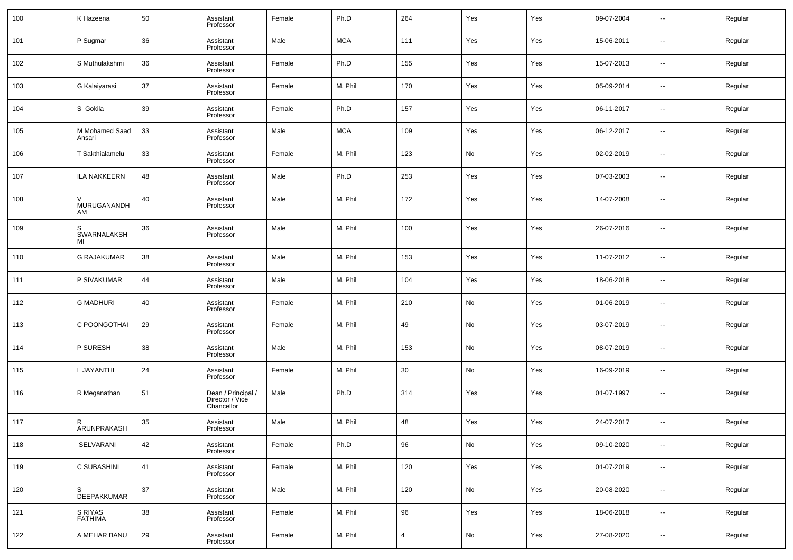| 100 | K Hazeena                   | 50 | Assistant<br>Professor                              | Female | Ph.D       | 264            | Yes | Yes | 09-07-2004 | $\overline{\phantom{a}}$ | Regular |
|-----|-----------------------------|----|-----------------------------------------------------|--------|------------|----------------|-----|-----|------------|--------------------------|---------|
| 101 | P Sugmar                    | 36 | Assistant<br>Professor                              | Male   | <b>MCA</b> | 111            | Yes | Yes | 15-06-2011 | ш,                       | Regular |
| 102 | S Muthulakshmi              | 36 | Assistant<br>Professor                              | Female | Ph.D       | 155            | Yes | Yes | 15-07-2013 | ш,                       | Regular |
| 103 | G Kalaiyarasi               | 37 | Assistant<br>Professor                              | Female | M. Phil    | 170            | Yes | Yes | 05-09-2014 | --                       | Regular |
| 104 | S Gokila                    | 39 | Assistant<br>Professor                              | Female | Ph.D       | 157            | Yes | Yes | 06-11-2017 | ш,                       | Regular |
| 105 | M Mohamed Saad<br>Ansari    | 33 | Assistant<br>Professor                              | Male   | <b>MCA</b> | 109            | Yes | Yes | 06-12-2017 | ш,                       | Regular |
| 106 | T Sakthialamelu             | 33 | Assistant<br>Professor                              | Female | M. Phil    | 123            | No  | Yes | 02-02-2019 | ш,                       | Regular |
| 107 | <b>ILA NAKKEERN</b>         | 48 | Assistant<br>Professor                              | Male   | Ph.D       | 253            | Yes | Yes | 07-03-2003 | $\overline{\phantom{a}}$ | Regular |
| 108 | $\vee$<br>MURUGANANDH<br>AM | 40 | Assistant<br>Professor                              | Male   | M. Phil    | 172            | Yes | Yes | 14-07-2008 | --                       | Regular |
| 109 | S<br>SWARNALAKSH<br>MI      | 36 | Assistant<br>Professor                              | Male   | M. Phil    | 100            | Yes | Yes | 26-07-2016 | --                       | Regular |
| 110 | <b>G RAJAKUMAR</b>          | 38 | Assistant<br>Professor                              | Male   | M. Phil    | 153            | Yes | Yes | 11-07-2012 | --                       | Regular |
| 111 | P SIVAKUMAR                 | 44 | Assistant<br>Professor                              | Male   | M. Phil    | 104            | Yes | Yes | 18-06-2018 | --                       | Regular |
| 112 | <b>G MADHURI</b>            | 40 | Assistant<br>Professor                              | Female | M. Phil    | 210            | No  | Yes | 01-06-2019 | --                       | Regular |
| 113 | C POONGOTHAI                | 29 | Assistant<br>Professor                              | Female | M. Phil    | 49             | No  | Yes | 03-07-2019 | --                       | Regular |
| 114 | P SURESH                    | 38 | Assistant<br>Professor                              | Male   | M. Phil    | 153            | No  | Yes | 08-07-2019 | --                       | Regular |
| 115 | L JAYANTHI                  | 24 | Assistant<br>Professor                              | Female | M. Phil    | 30             | No  | Yes | 16-09-2019 | --                       | Regular |
| 116 | R Meganathan                | 51 | Dean / Principal /<br>Director / Vice<br>Chancellor | Male   | Ph.D       | 314            | Yes | Yes | 01-07-1997 | --                       | Regular |
| 117 | R<br>ARUNPRAKASH            | 35 | Assistant<br>Professor                              | Male   | M. Phil    | 48             | Yes | Yes | 24-07-2017 | --                       | Regular |
| 118 | SELVARANI                   | 42 | Assistant<br>Professor                              | Female | Ph.D       | 96             | No  | Yes | 09-10-2020 | $\overline{\phantom{a}}$ | Regular |
| 119 | C SUBASHINI                 | 41 | Assistant<br>Professor                              | Female | M. Phil    | 120            | Yes | Yes | 01-07-2019 | $\overline{\phantom{a}}$ | Regular |
| 120 | S<br>DEEPAKKUMAR            | 37 | Assistant<br>Professor                              | Male   | M. Phil    | 120            | No  | Yes | 20-08-2020 | $\overline{\phantom{a}}$ | Regular |
| 121 | S RIYAS<br><b>FATHIMA</b>   | 38 | Assistant<br>Professor                              | Female | M. Phil    | 96             | Yes | Yes | 18-06-2018 | $\overline{\phantom{a}}$ | Regular |
| 122 | A MEHAR BANU                | 29 | Assistant<br>Professor                              | Female | M. Phil    | $\overline{4}$ | No  | Yes | 27-08-2020 | $\overline{\phantom{a}}$ | Regular |